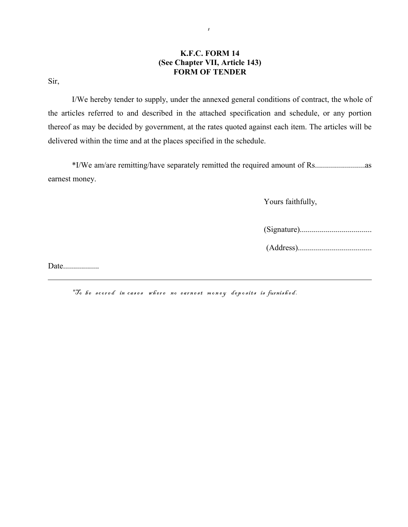## **K.F.C. FORM 14 (See Chapter VII, Article 143) FORM OF TENDER**

Sir,

I/We hereby tender to supply, under the annexed general conditions of contract, the whole of the articles referred to and described in the attached specification and schedule, or any portion thereof as may be decided by government, at the rates quoted against each item. The articles will be delivered within the time and at the places specified in the schedule.

\*I/We am/are remitting/have separately remitted the required amount of Rs.........................as earnest money.

Yours faithfully,

(Signature)....................................

(Address).....................................

Date..................

\*To be scored in cases where no earnest money deposits is furnished.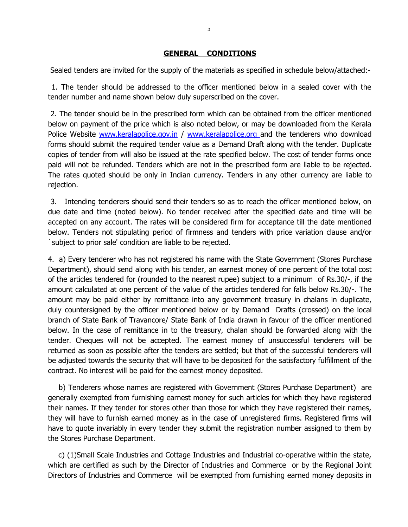## **GENERAL CONDITIONS**

2

Sealed tenders are invited for the supply of the materials as specified in schedule below/attached:-

 1. The tender should be addressed to the officer mentioned below in a sealed cover with the tender number and name shown below duly superscribed on the cover.

 2. The tender should be in the prescribed form which can be obtained from the officer mentioned below on payment of the price which is also noted below, or may be downloaded from the Kerala Police Website [www.keralapolice.gov.in](http://www.keralapolice.org/) / [www.keralapolice.org a](http://www.keralapolice.org/)nd the tenderers who download forms should submit the required tender value as a Demand Draft along with the tender. Duplicate copies of tender from will also be issued at the rate specified below. The cost of tender forms once paid will not be refunded. Tenders which are not in the prescribed form are liable to be rejected. The rates quoted should be only in Indian currency. Tenders in any other currency are liable to rejection.

 3. Intending tenderers should send their tenders so as to reach the officer mentioned below, on due date and time (noted below). No tender received after the specified date and time will be accepted on any account. The rates will be considered firm for acceptance till the date mentioned below. Tenders not stipulating period of firmness and tenders with price variation clause and/or `subject to prior sale' condition are liable to be rejected.

4. a) Every tenderer who has not registered his name with the State Government (Stores Purchase Department), should send along with his tender, an earnest money of one percent of the total cost of the articles tendered for (rounded to the nearest rupee) subject to a minimum of Rs.30/-, if the amount calculated at one percent of the value of the articles tendered for falls below Rs.30/-. The amount may be paid either by remittance into any government treasury in chalans in duplicate, duly countersigned by the officer mentioned below or by Demand Drafts (crossed) on the local branch of State Bank of Travancore/ State Bank of India drawn in favour of the officer mentioned below. In the case of remittance in to the treasury, chalan should be forwarded along with the tender. Cheques will not be accepted. The earnest money of unsuccessful tenderers will be returned as soon as possible after the tenders are settled; but that of the successful tenderers will be adjusted towards the security that will have to be deposited for the satisfactory fulfillment of the contract. No interest will be paid for the earnest money deposited.

 b) Tenderers whose names are registered with Government (Stores Purchase Department) are generally exempted from furnishing earnest money for such articles for which they have registered their names. If they tender for stores other than those for which they have registered their names, they will have to furnish earned money as in the case of unregistered firms. Registered firms will have to quote invariably in every tender they submit the registration number assigned to them by the Stores Purchase Department.

 c) (1)Small Scale Industries and Cottage Industries and Industrial co-operative within the state, which are certified as such by the Director of Industries and Commerce or by the Regional Joint Directors of Industries and Commerce will be exempted from furnishing earned money deposits in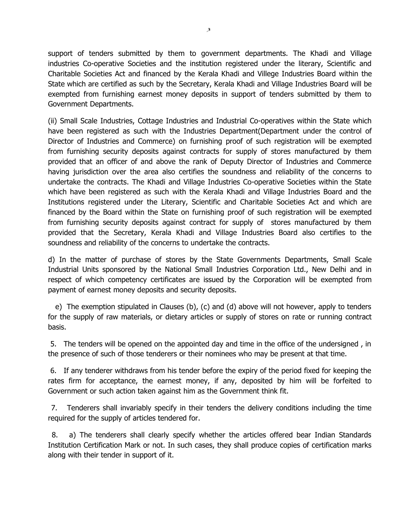support of tenders submitted by them to government departments. The Khadi and Village industries Co-operative Societies and the institution registered under the literary, Scientific and Charitable Societies Act and financed by the Kerala Khadi and Villege Industries Board within the State which are certified as such by the Secretary, Kerala Khadi and Village Industries Board will be exempted from furnishing earnest money deposits in support of tenders submitted by them to Government Departments.

(ii) Small Scale Industries, Cottage Industries and Industrial Co-operatives within the State which have been registered as such with the Industries Department(Department under the control of Director of Industries and Commerce) on furnishing proof of such registration will be exempted from furnishing security deposits against contracts for supply of stores manufactured by them provided that an officer of and above the rank of Deputy Director of Industries and Commerce having jurisdiction over the area also certifies the soundness and reliability of the concerns to undertake the contracts. The Khadi and Village Industries Co-operative Societies within the State which have been registered as such with the Kerala Khadi and Village Industries Board and the Institutions registered under the Literary, Scientific and Charitable Societies Act and which are financed by the Board within the State on furnishing proof of such registration will be exempted from furnishing security deposits against contract for supply of stores manufactured by them provided that the Secretary, Kerala Khadi and Village Industries Board also certifies to the soundness and reliability of the concerns to undertake the contracts.

d) In the matter of purchase of stores by the State Governments Departments, Small Scale Industrial Units sponsored by the National Small Industries Corporation Ltd., New Delhi and in respect of which competency certificates are issued by the Corporation will be exempted from payment of earnest money deposits and security deposits.

 e) The exemption stipulated in Clauses (b), (c) and (d) above will not however, apply to tenders for the supply of raw materials, or dietary articles or supply of stores on rate or running contract basis.

 5. The tenders will be opened on the appointed day and time in the office of the undersigned , in the presence of such of those tenderers or their nominees who may be present at that time.

 6. If any tenderer withdraws from his tender before the expiry of the period fixed for keeping the rates firm for acceptance, the earnest money, if any, deposited by him will be forfeited to Government or such action taken against him as the Government think fit.

 7. Tenderers shall invariably specify in their tenders the delivery conditions including the time required for the supply of articles tendered for.

 8. a) The tenderers shall clearly specify whether the articles offered bear Indian Standards Institution Certification Mark or not. In such cases, they shall produce copies of certification marks along with their tender in support of it.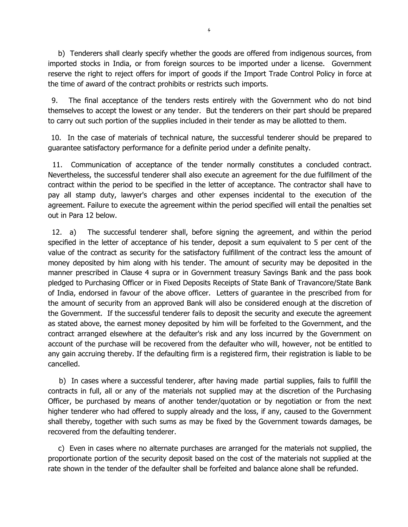b) Tenderers shall clearly specify whether the goods are offered from indigenous sources, from imported stocks in India, or from foreign sources to be imported under a license. Government reserve the right to reject offers for import of goods if the Import Trade Control Policy in force at the time of award of the contract prohibits or restricts such imports.

 9. The final acceptance of the tenders rests entirely with the Government who do not bind themselves to accept the lowest or any tender. But the tenderers on their part should be prepared to carry out such portion of the supplies included in their tender as may be allotted to them.

 10. In the case of materials of technical nature, the successful tenderer should be prepared to guarantee satisfactory performance for a definite period under a definite penalty.

 11. Communication of acceptance of the tender normally constitutes a concluded contract. Nevertheless, the successful tenderer shall also execute an agreement for the due fulfillment of the contract within the period to be specified in the letter of acceptance. The contractor shall have to pay all stamp duty, lawyer's charges and other expenses incidental to the execution of the agreement. Failure to execute the agreement within the period specified will entail the penalties set out in Para 12 below.

 12. a) The successful tenderer shall, before signing the agreement, and within the period specified in the letter of acceptance of his tender, deposit a sum equivalent to 5 per cent of the value of the contract as security for the satisfactory fulfillment of the contract less the amount of money deposited by him along with his tender. The amount of security may be deposited in the manner prescribed in Clause 4 supra or in Government treasury Savings Bank and the pass book pledged to Purchasing Officer or in Fixed Deposits Receipts of State Bank of Travancore/State Bank of India, endorsed in favour of the above officer. Letters of guarantee in the prescribed from for the amount of security from an approved Bank will also be considered enough at the discretion of the Government. If the successful tenderer fails to deposit the security and execute the agreement as stated above, the earnest money deposited by him will be forfeited to the Government, and the contract arranged elsewhere at the defaulter's risk and any loss incurred by the Government on account of the purchase will be recovered from the defaulter who will, however, not be entitled to any gain accruing thereby. If the defaulting firm is a registered firm, their registration is liable to be cancelled.

 b) In cases where a successful tenderer, after having made partial supplies, fails to fulfill the contracts in full, all or any of the materials not supplied may at the discretion of the Purchasing Officer, be purchased by means of another tender/quotation or by negotiation or from the next higher tenderer who had offered to supply already and the loss, if any, caused to the Government shall thereby, together with such sums as may be fixed by the Government towards damages, be recovered from the defaulting tenderer.

 c) Even in cases where no alternate purchases are arranged for the materials not supplied, the proportionate portion of the security deposit based on the cost of the materials not supplied at the rate shown in the tender of the defaulter shall be forfeited and balance alone shall be refunded.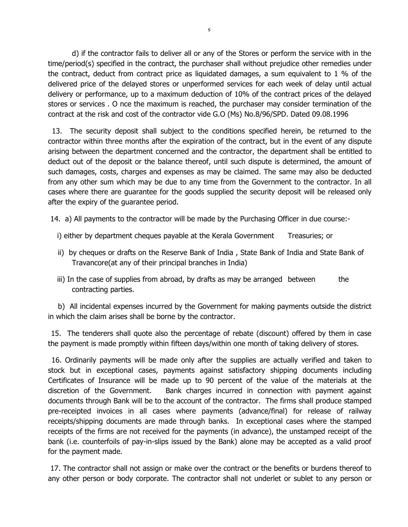d) if the contractor fails to deliver all or any of the Stores or perform the service with in the time/period(s) specified in the contract, the purchaser shall without prejudice other remedies under the contract, deduct from contract price as liquidated damages, a sum equivalent to 1 % of the delivered price of the delayed stores or unperformed services for each week of delay until actual delivery or performance, up to a maximum deduction of 10% of the contract prices of the delayed stores or services . O nce the maximum is reached, the purchaser may consider termination of the contract at the risk and cost of the contractor vide G.O (Ms) No.8/96/SPD. Dated 09.08.1996

 13. The security deposit shall subject to the conditions specified herein, be returned to the contractor within three months after the expiration of the contract, but in the event of any dispute arising between the department concerned and the contractor, the department shall be entitled to deduct out of the deposit or the balance thereof, until such dispute is determined, the amount of such damages, costs, charges and expenses as may be claimed. The same may also be deducted from any other sum which may be due to any time from the Government to the contractor. In all cases where there are guarantee for the goods supplied the security deposit will be released only after the expiry of the guarantee period.

14. a) All payments to the contractor will be made by the Purchasing Officer in due course:-

- i) either by department cheques payable at the Kerala Government Treasuries; or
- ii) by cheques or drafts on the Reserve Bank of India , State Bank of India and State Bank of Travancore(at any of their principal branches in India)
- iii) In the case of supplies from abroad, by drafts as may be arranged between the contracting parties.

 b) All incidental expenses incurred by the Government for making payments outside the district in which the claim arises shall be borne by the contractor.

 15. The tenderers shall quote also the percentage of rebate (discount) offered by them in case the payment is made promptly within fifteen days/within one month of taking delivery of stores.

 16. Ordinarily payments will be made only after the supplies are actually verified and taken to stock but in exceptional cases, payments against satisfactory shipping documents including Certificates of Insurance will be made up to 90 percent of the value of the materials at the discretion of the Government. Bank charges incurred in connection with payment against documents through Bank will be to the account of the contractor. The firms shall produce stamped pre-receipted invoices in all cases where payments (advance/final) for release of railway receipts/shipping documents are made through banks. In exceptional cases where the stamped receipts of the firms are not received for the payments (in advance), the unstamped receipt of the bank (i.e. counterfoils of pay-in-slips issued by the Bank) alone may be accepted as a valid proof for the payment made.

 17. The contractor shall not assign or make over the contract or the benefits or burdens thereof to any other person or body corporate. The contractor shall not underlet or sublet to any person or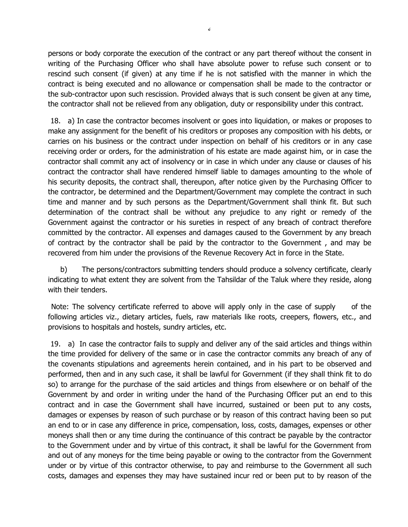persons or body corporate the execution of the contract or any part thereof without the consent in writing of the Purchasing Officer who shall have absolute power to refuse such consent or to rescind such consent (if given) at any time if he is not satisfied with the manner in which the contract is being executed and no allowance or compensation shall be made to the contractor or the sub-contractor upon such rescission. Provided always that is such consent be given at any time, the contractor shall not be relieved from any obligation, duty or responsibility under this contract.

 18. a) In case the contractor becomes insolvent or goes into liquidation, or makes or proposes to make any assignment for the benefit of his creditors or proposes any composition with his debts, or carries on his business or the contract under inspection on behalf of his creditors or in any case receiving order or orders, for the administration of his estate are made against him, or in case the contractor shall commit any act of insolvency or in case in which under any clause or clauses of his contract the contractor shall have rendered himself liable to damages amounting to the whole of his security deposits, the contract shall, thereupon, after notice given by the Purchasing Officer to the contractor, be determined and the Department/Government may complete the contract in such time and manner and by such persons as the Department/Government shall think fit. But such determination of the contract shall be without any prejudice to any right or remedy of the Government against the contractor or his sureties in respect of any breach of contract therefore committed by the contractor. All expenses and damages caused to the Government by any breach of contract by the contractor shall be paid by the contractor to the Government , and may be recovered from him under the provisions of the Revenue Recovery Act in force in the State.

 b) The persons/contractors submitting tenders should produce a solvency certificate, clearly indicating to what extent they are solvent from the Tahsildar of the Taluk where they reside, along with their tenders.

 Note: The solvency certificate referred to above will apply only in the case of supply of the following articles viz., dietary articles, fuels, raw materials like roots, creepers, flowers, etc., and provisions to hospitals and hostels, sundry articles, etc.

 19. a) In case the contractor fails to supply and deliver any of the said articles and things within the time provided for delivery of the same or in case the contractor commits any breach of any of the covenants stipulations and agreements herein contained, and in his part to be observed and performed, then and in any such case, it shall be lawful for Government (if they shall think fit to do so) to arrange for the purchase of the said articles and things from elsewhere or on behalf of the Government by and order in writing under the hand of the Purchasing Officer put an end to this contract and in case the Government shall have incurred, sustained or been put to any costs, damages or expenses by reason of such purchase or by reason of this contract having been so put an end to or in case any difference in price, compensation, loss, costs, damages, expenses or other moneys shall then or any time during the continuance of this contract be payable by the contractor to the Government under and by virtue of this contract, it shall be lawful for the Government from and out of any moneys for the time being payable or owing to the contractor from the Government under or by virtue of this contractor otherwise, to pay and reimburse to the Government all such costs, damages and expenses they may have sustained incur red or been put to by reason of the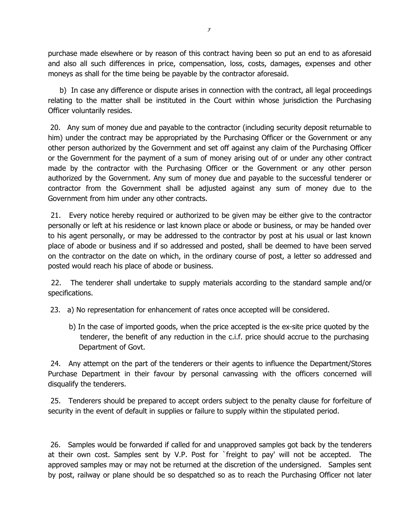purchase made elsewhere or by reason of this contract having been so put an end to as aforesaid and also all such differences in price, compensation, loss, costs, damages, expenses and other moneys as shall for the time being be payable by the contractor aforesaid.

 b) In case any difference or dispute arises in connection with the contract, all legal proceedings relating to the matter shall be instituted in the Court within whose jurisdiction the Purchasing Officer voluntarily resides.

 20. Any sum of money due and payable to the contractor (including security deposit returnable to him) under the contract may be appropriated by the Purchasing Officer or the Government or any other person authorized by the Government and set off against any claim of the Purchasing Officer or the Government for the payment of a sum of money arising out of or under any other contract made by the contractor with the Purchasing Officer or the Government or any other person authorized by the Government. Any sum of money due and payable to the successful tenderer or contractor from the Government shall be adjusted against any sum of money due to the Government from him under any other contracts.

 21. Every notice hereby required or authorized to be given may be either give to the contractor personally or left at his residence or last known place or abode or business, or may be handed over to his agent personally, or may be addressed to the contractor by post at his usual or last known place of abode or business and if so addressed and posted, shall be deemed to have been served on the contractor on the date on which, in the ordinary course of post, a letter so addressed and posted would reach his place of abode or business.

 22. The tenderer shall undertake to supply materials according to the standard sample and/or specifications.

23. a) No representation for enhancement of rates once accepted will be considered.

 b) In the case of imported goods, when the price accepted is the ex-site price quoted by the tenderer, the benefit of any reduction in the c.i.f. price should accrue to the purchasing Department of Govt.

 24. Any attempt on the part of the tenderers or their agents to influence the Department/Stores Purchase Department in their favour by personal canvassing with the officers concerned will disqualify the tenderers.

 25. Tenderers should be prepared to accept orders subject to the penalty clause for forfeiture of security in the event of default in supplies or failure to supply within the stipulated period.

 26. Samples would be forwarded if called for and unapproved samples got back by the tenderers at their own cost. Samples sent by V.P. Post for `freight to pay' will not be accepted. The approved samples may or may not be returned at the discretion of the undersigned. Samples sent by post, railway or plane should be so despatched so as to reach the Purchasing Officer not later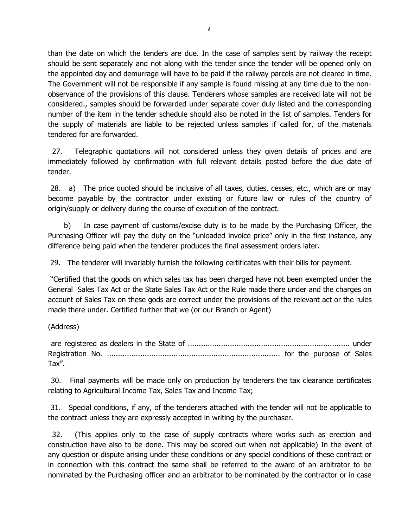than the date on which the tenders are due. In the case of samples sent by railway the receipt should be sent separately and not along with the tender since the tender will be opened only on the appointed day and demurrage will have to be paid if the railway parcels are not cleared in time. The Government will not be responsible if any sample is found missing at any time due to the nonobservance of the provisions of this clause. Tenderers whose samples are received late will not be considered., samples should be forwarded under separate cover duly listed and the corresponding number of the item in the tender schedule should also be noted in the list of samples. Tenders for the supply of materials are liable to be rejected unless samples if called for, of the materials tendered for are forwarded.

 27. Telegraphic quotations will not considered unless they given details of prices and are immediately followed by confirmation with full relevant details posted before the due date of tender.

 28. a) The price quoted should be inclusive of all taxes, duties, cesses, etc., which are or may become payable by the contractor under existing or future law or rules of the country of origin/supply or delivery during the course of execution of the contract.

 b) In case payment of customs/excise duty is to be made by the Purchasing Officer, the Purchasing Officer will pay the duty on the "unloaded invoice price" only in the first instance, any difference being paid when the tenderer produces the final assessment orders later.

29. The tenderer will invariably furnish the following certificates with their bills for payment.

 "Certified that the goods on which sales tax has been charged have not been exempted under the General Sales Tax Act or the State Sales Tax Act or the Rule made there under and the charges on account of Sales Tax on these gods are correct under the provisions of the relevant act or the rules made there under. Certified further that we (or our Branch or Agent)

(Address)

 are registered as dealers in the State of ......................................................................... under Registration No. .............................................................................. for the purpose of Sales Tax".

 30. Final payments will be made only on production by tenderers the tax clearance certificates relating to Agricultural Income Tax, Sales Tax and Income Tax;

 31. Special conditions, if any, of the tenderers attached with the tender will not be applicable to the contract unless they are expressly accepted in writing by the purchaser.

 32. (This applies only to the case of supply contracts where works such as erection and construction have also to be done. This may be scored out when not applicable) In the event of any question or dispute arising under these conditions or any special conditions of these contract or in connection with this contract the same shall be referred to the award of an arbitrator to be nominated by the Purchasing officer and an arbitrator to be nominated by the contractor or in case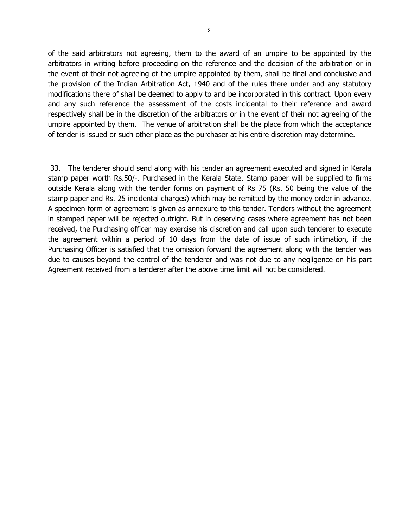of the said arbitrators not agreeing, them to the award of an umpire to be appointed by the arbitrators in writing before proceeding on the reference and the decision of the arbitration or in the event of their not agreeing of the umpire appointed by them, shall be final and conclusive and the provision of the Indian Arbitration Act, 1940 and of the rules there under and any statutory modifications there of shall be deemed to apply to and be incorporated in this contract. Upon every and any such reference the assessment of the costs incidental to their reference and award respectively shall be in the discretion of the arbitrators or in the event of their not agreeing of the umpire appointed by them. The venue of arbitration shall be the place from which the acceptance of tender is issued or such other place as the purchaser at his entire discretion may determine.

 33. The tenderer should send along with his tender an agreement executed and signed in Kerala stamp paper worth Rs.50/-. Purchased in the Kerala State. Stamp paper will be supplied to firms outside Kerala along with the tender forms on payment of Rs 75 (Rs. 50 being the value of the stamp paper and Rs. 25 incidental charges) which may be remitted by the money order in advance. A specimen form of agreement is given as annexure to this tender. Tenders without the agreement in stamped paper will be rejected outright. But in deserving cases where agreement has not been received, the Purchasing officer may exercise his discretion and call upon such tenderer to execute the agreement within a period of 10 days from the date of issue of such intimation, if the Purchasing Officer is satisfied that the omission forward the agreement along with the tender was due to causes beyond the control of the tenderer and was not due to any negligence on his part Agreement received from a tenderer after the above time limit will not be considered.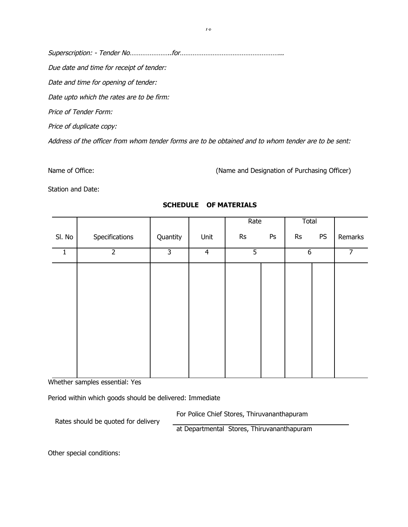Superscription: - Tender No…………………..for………………………………………………... Due date and time for receipt of tender: Date and time for opening of tender: Date upto which the rates are to be firm: Price of Tender Form: Price of duplicate copy: Address of the officer from whom tender forms are to be obtained and to whom tender are to be sent:

Name of Office: (Name and Designation of Purchasing Officer)

Station and Date:

|        |                |                |                | Rate          |    | Total         |           |                |
|--------|----------------|----------------|----------------|---------------|----|---------------|-----------|----------------|
| SI. No | Specifications | Quantity       | Unit           | $\mathsf{Rs}$ | Ps | $\mathsf{Rs}$ | <b>PS</b> | Remarks        |
| 1      | $\overline{2}$ | $\overline{3}$ | $\overline{4}$ | 5             |    | $\sqrt{6}$    |           | $\overline{7}$ |
|        |                |                |                |               |    |               |           |                |
|        |                |                |                |               |    |               |           |                |
|        |                |                |                |               |    |               |           |                |
|        |                |                |                |               |    |               |           |                |
|        |                |                |                |               |    |               |           |                |
|        |                |                |                |               |    |               |           |                |
|        |                |                |                |               |    |               |           |                |
|        |                |                |                |               |    |               |           |                |

# **SCHEDULE OF MATERIALS**

Whether samples essential: Yes

Period within which goods should be delivered: Immediate

For Police Chief Stores, Thiruvananthapuram

Rates should be quoted for delivery

at Departmental Stores, Thiruvananthapuram

Other special conditions: